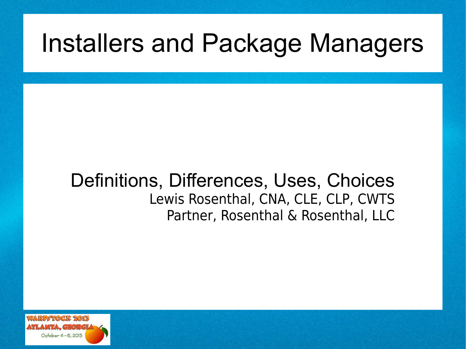## Installers and Package Managers

#### Definitions, Differences, Uses, Choices Lewis Rosenthal, CNA, CLE, CLP, CWTS Partner, Rosenthal & Rosenthal, LLC

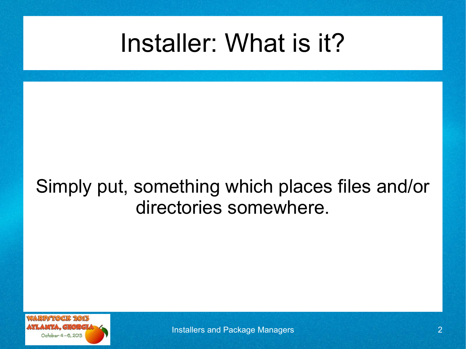## Installer: What is it?

### Simply put, something which places files and/or directories somewhere.

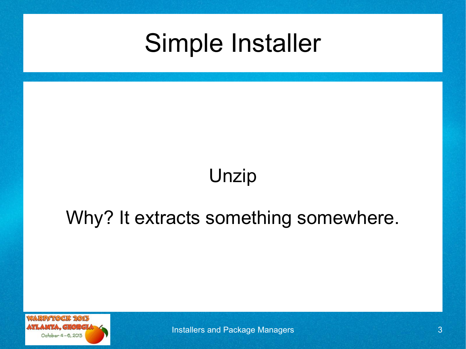## Simple Installer

## Unzip

#### Why? It extracts something somewhere.



Installers and Package Managers 3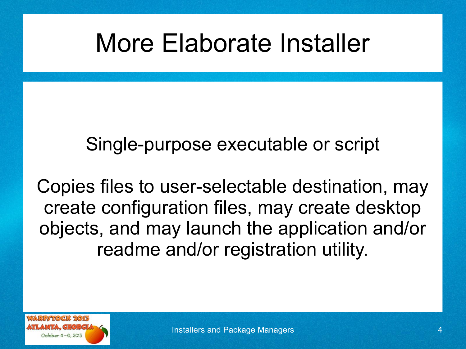## More Elaborate Installer

Single-purpose executable or script

Copies files to user-selectable destination, may create configuration files, may create desktop objects, and may launch the application and/or readme and/or registration utility.

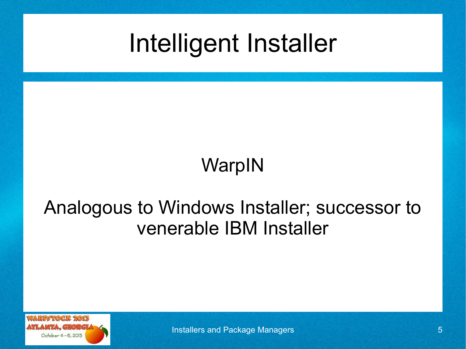Intelligent Installer

WarpIN

### Analogous to Windows Installer; successor to venerable IBM Installer



Installers and Package Managers 5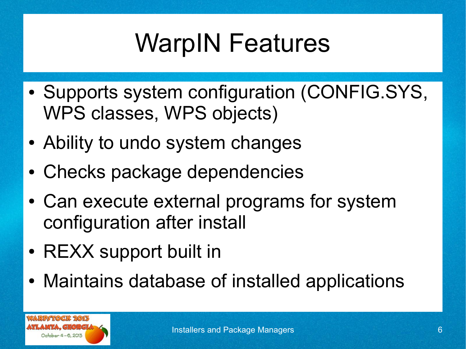# WarpIN Features

- Supports system configuration (CONFIG.SYS, WPS classes, WPS objects)
- Ability to undo system changes
- Checks package dependencies
- Can execute external programs for system configuration after install
- REXX support built in
- Maintains database of installed applications

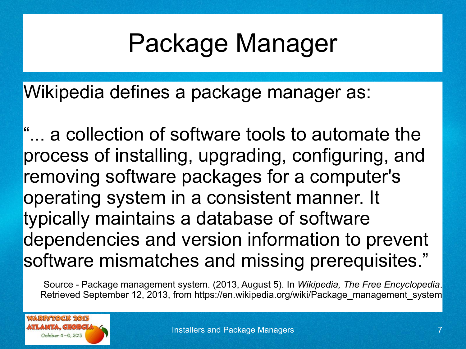## Package Manager

Wikipedia defines a package manager as:

"... a collection of software tools to automate the process of installing, upgrading, configuring, and removing software packages for a computer's operating system in a consistent manner. It typically maintains a database of software dependencies and version information to prevent software mismatches and missing prerequisites."

Source - Package management system. (2013, August 5). In *Wikipedia, The Free Encyclopedia*. Retrieved September 12, 2013, from https://en.wikipedia.org/wiki/Package\_management\_system

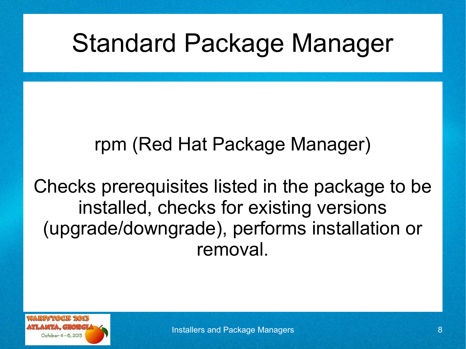## Standard Package Manager

## rpm (Red Hat Package Manager)

Checks prerequisites listed in the package to be installed, checks for existing versions (upgrade/downgrade), performs installation or removal.

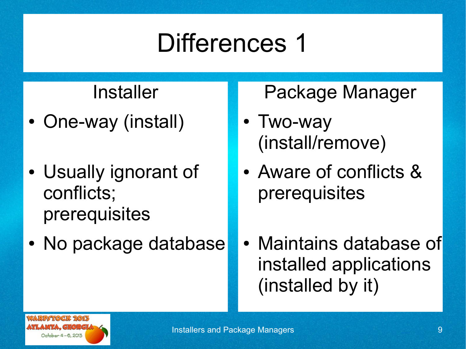#### Installer

- One-way (install)
- Usually ignorant of conflicts; prerequisites
- No package database

#### Package Manager

- Two-way (install/remove)
- Aware of conflicts & prerequisites
- Maintains database of installed applications (installed by it)

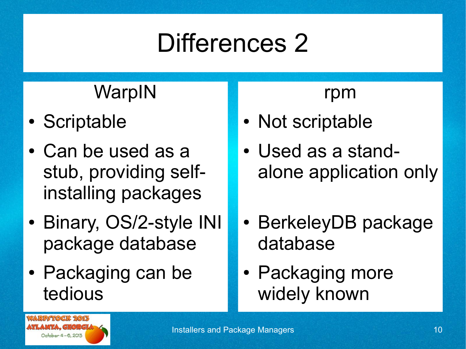## WarpIN

- Scriptable
- Can be used as a stub, providing selfinstalling packages
- Binary, OS/2-style INI package database
- Packaging can be tedious

#### rpm

- Not scriptable
- Used as a standalone application only
- BerkeleyDB package database
- Packaging more widely known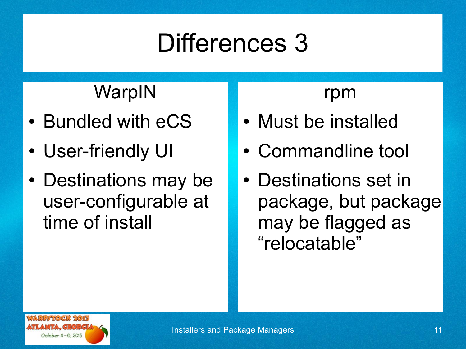## **WarpIN**

- Bundled with eCS
- User-friendly UI
- Destinations may be user-configurable at time of install

#### rpm

- Must be installed
- Commandline tool
- Destinations set in package, but package may be flagged as "relocatable"

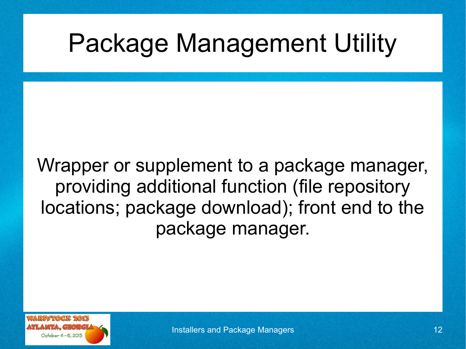## Package Management Utility

Wrapper or supplement to a package manager, providing additional function (file repository locations; package download); front end to the package manager.

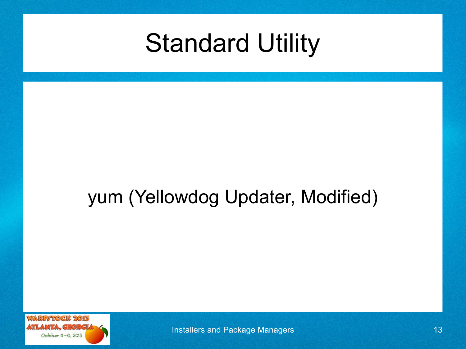

## yum (Yellowdog Updater, Modified)



**Installers and Package Managers 13** 13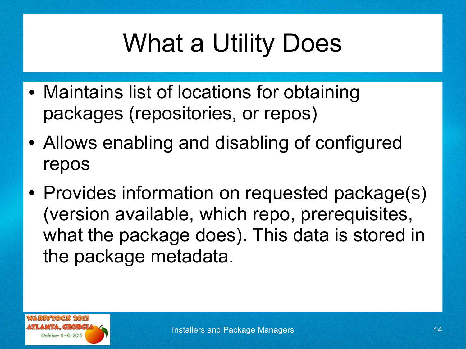# What a Utility Does

- Maintains list of locations for obtaining packages (repositories, or repos)
- Allows enabling and disabling of configured repos
- Provides information on requested package(s) (version available, which repo, prerequisites, what the package does). This data is stored in the package metadata.

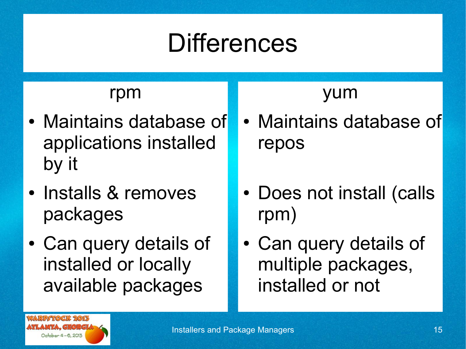#### rpm

- Maintains database of applications installed by it
- Installs & removes packages
- Can query details of installed or locally available packages

## yum

- Maintains database of repos
- Does not install (calls rpm)
- Can query details of multiple packages, installed or not

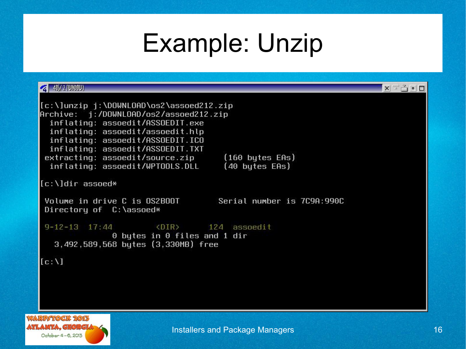## Example: Unzip

| $40/2$ (UNDOV)                                                                                                                                                                                                                                                                                                                             | $X = 9 = 7$ |
|--------------------------------------------------------------------------------------------------------------------------------------------------------------------------------------------------------------------------------------------------------------------------------------------------------------------------------------------|-------------|
| [c:\]unzip j:\DOWNLOAD\os2\assoed212.zip<br>Archive: j:/DOWNLOAD/os2/assoed212.zip<br>inflating: assoedit/ASSOEDIT.exe<br>inflating: assoedit/assoedit.hlp<br>inflating: assoedit/ASSOEDIT.ICO<br>inflating: assoedit/ASSOEDIT.TXT<br>extracting: assoedit/source.zip (160 butes EAs)<br>inflating: assoedit/WPTOOLS.DLL<br>(40 bytes EAs) |             |
| [c:\]dir assoed*                                                                                                                                                                                                                                                                                                                           |             |
| Volume in drive C is OS2BOOT<br>Serial number is 7C9A:990C<br>Directory of C:\assoed*                                                                                                                                                                                                                                                      |             |
| 9-12-13 17:44<br><br><br><br><br><br><br><br><br><br><br><br><br><br><br><br><br><br><br><br><br><br><br><br><br><br><br><br><br><br>$\theta$ bytes in $\theta$ files and 1 dir<br>                                                                                                                                                        |             |
| [c:1]                                                                                                                                                                                                                                                                                                                                      |             |
|                                                                                                                                                                                                                                                                                                                                            |             |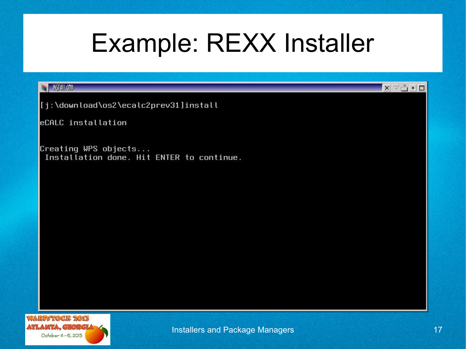## Example: REXX Installer

#### **S KSTALL** OND

[j:\download\os2\ecalc2prev31]install

eCALC installation

Creating WPS objects... Installation done. Hit ENTER to continue.



 $X \nightharpoonup^{\sim} \nightharpoonup^{\sim} \blacksquare$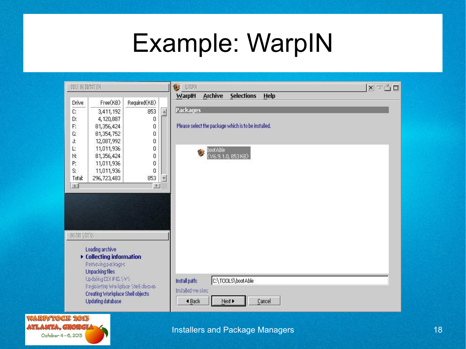## Example: WarpIN

| Drive<br>C:            |                                                       |              |              | 參<br>UAMK                                             | $X = 30$ |
|------------------------|-------------------------------------------------------|--------------|--------------|-------------------------------------------------------|----------|
|                        |                                                       |              |              | <b>Archive</b><br><b>Selections</b><br>Help<br>WarpIN |          |
|                        | Free(KB)                                              | Required(KB) |              |                                                       |          |
|                        | 3,411,192                                             | 853          | $\sim$       | <b>Packages</b>                                       |          |
| D:                     | 4,120,887                                             | 0            |              |                                                       |          |
| F.                     | 81,356,424                                            | 0            |              | Please select the package which is to be installed.   |          |
| G.                     | 81,354,752                                            | 0            |              |                                                       |          |
| J,                     | 12,087,992                                            | 0            |              |                                                       |          |
| L.                     | 11,011,936                                            | 0            |              | $\mathbf{u}$                                          |          |
| N:                     | 81,356,424                                            | 0            |              | boot Able<br>(V6.9.1.0, 853 KB)                       |          |
| P:                     | 11,011,936                                            | 0            |              |                                                       |          |
| S:                     | 11,011,936                                            | 0            |              |                                                       |          |
| Total:                 | 296,723,483                                           | 853          | $\checkmark$ |                                                       |          |
| $\left  \cdot \right $ |                                                       | $\,$ $\,$    |              |                                                       |          |
|                        |                                                       |              |              |                                                       |          |
| INSTAIL STATUS         |                                                       |              |              |                                                       |          |
|                        |                                                       |              |              |                                                       |          |
|                        | Loading archive<br>▶ Collecting information           |              |              |                                                       |          |
|                        | Penning parkages                                      |              |              |                                                       |          |
|                        | Unpacking files                                       |              |              |                                                       |          |
|                        | Updaing CCI FIG.SYS                                   |              |              | C:\TOOLS\bootAble<br>Install path:                    |          |
|                        | Registering Workplace Shell diasses-                  |              |              |                                                       |          |
|                        | Creating Workplace Shell objects<br>Updating database |              |              | installed version:<br>Next ><br>◀ Back<br>Cancel      |          |
|                        |                                                       |              |              |                                                       |          |

ATLANTA, GEORGL October 4-6, 2013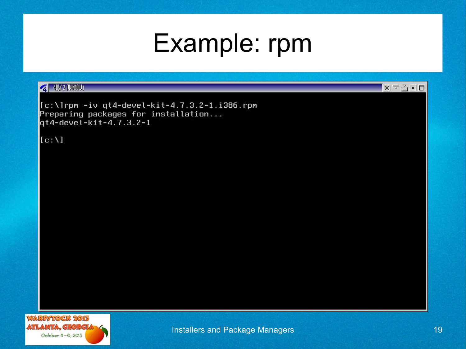## Example: rpm

#### 41%/2 [UNDIU]

 $[c:\1]$ rpm -iv qt4-devel-kit-4.7.3.2-1.i386.rpm Preparing packages for installation...  $q$ t4-devel-kit-4.7.3.2-1

 $[c:1]$ 



 $\mathbf{X} \equiv \mathbf{A} \bullet \mathbf{B}$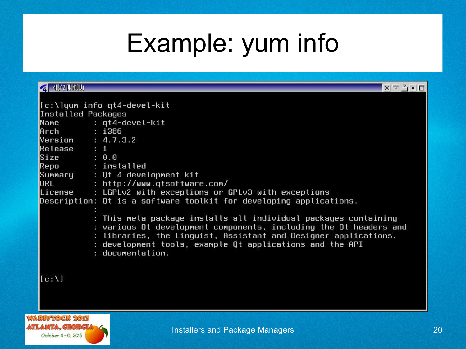## Example: yum info

| <b>4 45/2 [UNDIU]</b>                                                                                            | $X = 3 - 7$                                                                                                                                                                                                                                                                                                                                                   |
|------------------------------------------------------------------------------------------------------------------|---------------------------------------------------------------------------------------------------------------------------------------------------------------------------------------------------------------------------------------------------------------------------------------------------------------------------------------------------------------|
| Installed Packages<br>Arch : 1386<br>$Version$ : 4.7.3.2<br>Release : 1<br>Size : 0.0<br>Repo : installed<br>URL | [[c:\]yum info qt4-devel-kit<br>Name: gt4-devel-kit<br>Summary : Qt 4 development kit<br>: http://www.qtsoftware.com/<br>License $\qquad$ : LGPLv2 with exceptions or GPLv3 with exceptions                                                                                                                                                                   |
|                                                                                                                  | Description: Qt is a software toolkit for developing applications.<br>: This meta package installs all individual packages containing<br>: various Qt development components, including the Qt headers and<br>: libraries, the Linguist, Assistant and Designer applications,<br>: development tools, example Qt applications and the API<br>: documentation. |
| [c:1]<br><b>RP/TOCK 2013</b>                                                                                     |                                                                                                                                                                                                                                                                                                                                                               |

WZ

**ATLANTA, GEORGI** October 4-6, 2013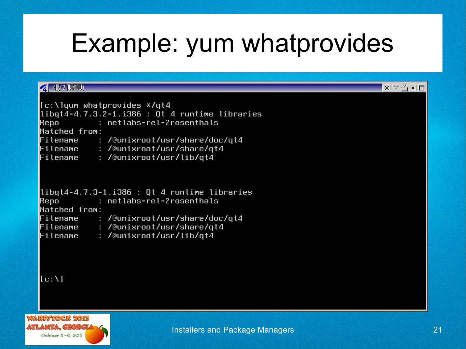## Example: yum whatprovides

#### **2** 40 / 2 ( UNDOW)

|               | [[c:\]ųum whatprovides */qt4                    |
|---------------|-------------------------------------------------|
|               | $libqtd-4.7.3.2-1.1386: Qt 4 runtime libraries$ |
| Repo          | : netlabs-rel-2rosenthals                       |
| Matched from: |                                                 |
|               | Filename : /@unixroot/usr/share/doc/qt4         |
|               | Filename : /@unixroot/usr/share/qt4             |
|               | Filename : /@unixroot/usr/lib/qt4               |
|               |                                                 |
|               | $libqtd-4.7.3-1.1386: 0t$ 4 runtime libraries   |
|               | Repo             : netlabs-rel-2rosenthals      |
| Matched from: |                                                 |
|               | Filename : /@unixroot/usr/share/doc/qt4         |
|               | Filename : /@unixroot/usr/share/qt4             |
| Filename      | : /@unixroot/usr/lib/qt4                        |

```
[c:1]
```


 $X = \frac{3}{2}$   $\blacksquare$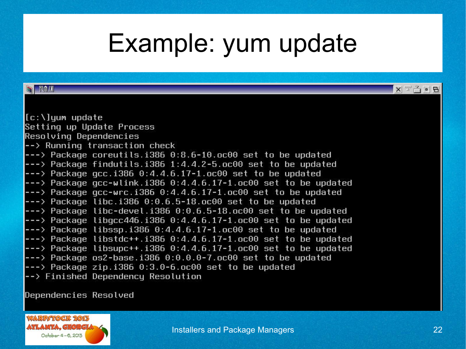## Example: yum update

| <b>TUMLINI</b>                                                                                                                                                                                                                 | $X = 9$ $B$ |
|--------------------------------------------------------------------------------------------------------------------------------------------------------------------------------------------------------------------------------|-------------|
|                                                                                                                                                                                                                                |             |
|                                                                                                                                                                                                                                |             |
| [c:\]yum update                                                                                                                                                                                                                |             |
| Setting up Update Process                                                                                                                                                                                                      |             |
| Resolving Dependencies                                                                                                                                                                                                         |             |
| $\left  \text{--} \right\rangle$ Running transaction check                                                                                                                                                                     |             |
| $\leftarrow$ Package coreutils.i386 0:8.6-10.oc00 set to be updated                                                                                                                                                            |             |
| $\left  \text{---} \right\rangle$ Package findutils.i386 1:4.4.2-5.oc00 set to be updated                                                                                                                                      |             |
| $\left  \text{---} \right\rangle$ Package gcc.i386 0:4.4.6.17-1.oc00 set to be updated                                                                                                                                         |             |
| $\left  \text{---} \right\rangle$ Package gcc-wlink.i386 0:4.4.6.17-1.oc00 set to be updated                                                                                                                                   |             |
| $\left  \text{---} \right\rangle$ Package gcc-wrc.i386 0:4.4.6.17-1.oc00 set to be updated                                                                                                                                     |             |
| $\left  \text{---} \right\rangle$ Package libc.i386 0:0.6.5-18.oc00 set to be updated                                                                                                                                          |             |
| $\left  \text{---} \right\rangle$ Package libc-devel.i386 0:0.6.5-18.oc00 set to be updated                                                                                                                                    |             |
| $\left  \text{---} \right\rangle$ Package libgcc446.i386 0:4.4.6.17-1.oc00 set to be updated                                                                                                                                   |             |
| $\left  \text{---} \right\rangle$ Package libssp.i386 0:4.4.6.17-1.oc00 set to be updated                                                                                                                                      |             |
| $\left  \text{---} \right\rangle$ Package libstdc++.i386 0:4.4.6.17-1.oc00 set to be updated                                                                                                                                   |             |
| $\leftarrow$ Package libsupc++.i386 0:4.4.6.17-1.oc00 set to be updated                                                                                                                                                        |             |
| $\left  \text{---} \right\rangle$ Package os2-base.i386 0:0.0.0-7.oc00 set to be updated                                                                                                                                       |             |
| $\left  \text{---} \right\rangle$ Package zip.i386 0:3.0-6.oc00 set to be updated                                                                                                                                              |             |
| $\left  \text{--} \right\rangle$ Finished Dependency Resolution                                                                                                                                                                |             |
| has a graduated to go in the first of the state of the state of the state of the state of the state of the state of the state of the state of the state of the state of the state of the state of the state of the state of th |             |

pependencies Resolved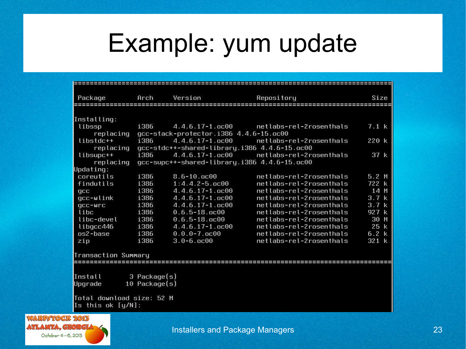## Example: yum update

| Package                   | Arch                                   | Version                                                | Repository              | Size     |  |  |  |
|---------------------------|----------------------------------------|--------------------------------------------------------|-------------------------|----------|--|--|--|
|                           |                                        |                                                        |                         |          |  |  |  |
| Installing:               |                                        |                                                        |                         |          |  |  |  |
| libssp                    | i386                                   | $4.4.6.17 - 1.000$                                     | netlabs-rel-2rosenthals | 7.1 k    |  |  |  |
| replacing                 | qcc-stack-protector.i386 4.4.6-15.oc00 |                                                        |                         |          |  |  |  |
| libstdc++                 | i386                                   | $4.4.6.17 - 1.0000$                                    | netlabs-rel-2rosenthals | 220 k    |  |  |  |
|                           |                                        | replacing gcc-stdc++-shared-library.i386 4.4.6-15.oc00 |                         |          |  |  |  |
| libsupc++                 | i386                                   | $4.4.6.17 - 1.0000$                                    | netlabs-rel-2rosenthals | 37 k     |  |  |  |
| replacinq                 |                                        | qcc-supc++-shared-library.i386 4.4.6-15.oc00           |                         |          |  |  |  |
| Updating:                 |                                        |                                                        |                         |          |  |  |  |
| coreutils                 | i386                                   | $8.6 - 10.0000$                                        | netlabs-rel-2rosenthals | 5.2M     |  |  |  |
| findutils                 | i386                                   | $1:4.4.2 - 5.000$                                      | netlabs-rel-2rosenthals | 722 k    |  |  |  |
| qcc                       | i386                                   | $4.4.6.17 - 1.0000$                                    | netlabs-rel-2rosenthals | 14 M     |  |  |  |
| gcc-wlink                 | i386                                   | $4.4.6.17 - 1.0000$                                    | netlabs-rel-2rosenthals | 3.7k     |  |  |  |
| qcc-wrc                   | i386                                   | $4.4.6.17 - 1.0000$                                    | netlabs-rel-2rosenthals | 3.7k     |  |  |  |
| libc                      | i386                                   | $0.6.5 - 18.000$                                       | netlabs-rel-2rosenthals | 927 k    |  |  |  |
| libc-devel                | i386                                   | $0.6.5 - 18.0000$                                      | netlabs-rel-2rosenthals | 30 M     |  |  |  |
| libgcc446                 | i386                                   | $4.4.6.17 - 1.0000$                                    | netlabs-rel-2rosenthals | 25 k     |  |  |  |
| os2-base                  | i386                                   | $0.0.0 - 7.0000$                                       | netlabs-rel-2rosenthals | $6.2\;k$ |  |  |  |
| zip                       | i386                                   | $3.0 - 6.000$                                          | netlabs-rel-2rosenthals | 321 k    |  |  |  |
| Transaction Summary       |                                        |                                                        |                         |          |  |  |  |
|                           |                                        |                                                        |                         |          |  |  |  |
|                           |                                        |                                                        |                         |          |  |  |  |
| Install                   | 3 Package(s)                           |                                                        |                         |          |  |  |  |
| Upgrade                   | $10$ Package $(s)$                     |                                                        |                         |          |  |  |  |
| Total download size: 52 M |                                        |                                                        |                         |          |  |  |  |
| Is this ok $[y/N]$ :      |                                        |                                                        |                         |          |  |  |  |

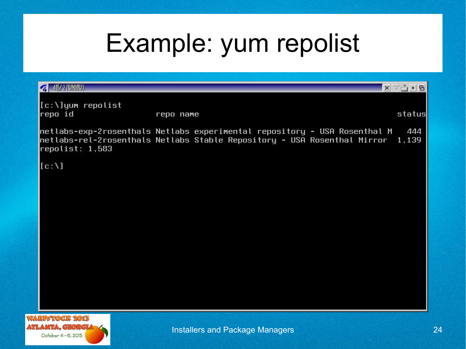## Example: yum repolist

| 4 45/2 (UNOTU)                                 |                                                                                                                                                             | <b>X</b> 국 스 - B |
|------------------------------------------------|-------------------------------------------------------------------------------------------------------------------------------------------------------------|------------------|
| [c:\]yum repolist<br>repo id                   | repo name                                                                                                                                                   | status           |
| repolist: 1,583                                | netlabs-exp-2rosenthals Netlabs experimental repository - USA Rosenthal M<br>netlabs-rel-2rosenthals Netlabs Stable Repository - USA Rosenthal Mirror 1,139 | 444              |
| [c:1]                                          |                                                                                                                                                             |                  |
|                                                |                                                                                                                                                             |                  |
|                                                |                                                                                                                                                             |                  |
|                                                |                                                                                                                                                             |                  |
|                                                |                                                                                                                                                             |                  |
|                                                |                                                                                                                                                             |                  |
|                                                |                                                                                                                                                             |                  |
| <b>ARPATOCK 2015</b><br><b>TANFA CEARCIA C</b> |                                                                                                                                                             |                  |

WZ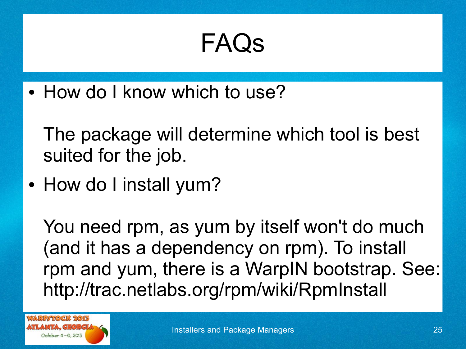• How do I know which to use?

The package will determine which tool is best suited for the job.

• How do I install yum?

You need rpm, as yum by itself won't do much (and it has a dependency on rpm). To install rpm and yum, there is a WarpIN bootstrap. See: http://trac.netlabs.org/rpm/wiki/RpmInstall

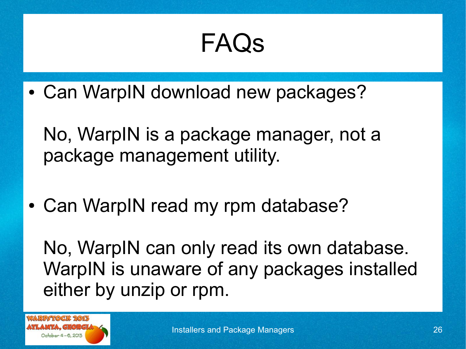• Can WarpIN download new packages?

No, WarpIN is a package manager, not a package management utility.

• Can WarpIN read my rpm database?

No, WarpIN can only read its own database. WarpIN is unaware of any packages installed either by unzip or rpm.

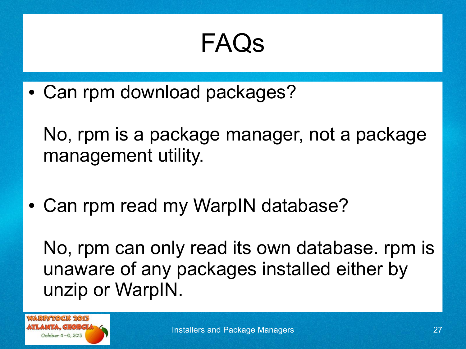• Can rpm download packages?

No, rpm is a package manager, not a package management utility.

• Can rpm read my WarpIN database?

No, rpm can only read its own database. rpm is unaware of any packages installed either by unzip or WarpIN.

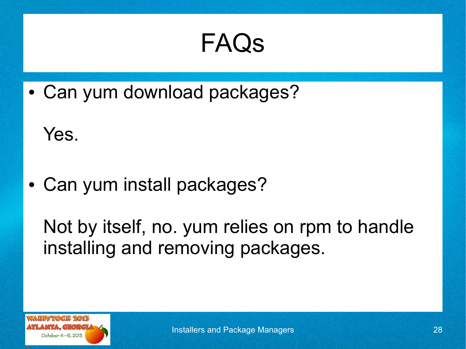• Can yum download packages?

Yes.

• Can yum install packages?

Not by itself, no. yum relies on rpm to handle installing and removing packages.

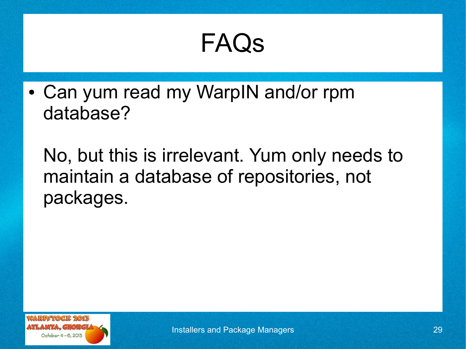• Can yum read my WarpIN and/or rpm database?

No, but this is irrelevant. Yum only needs to maintain a database of repositories, not packages.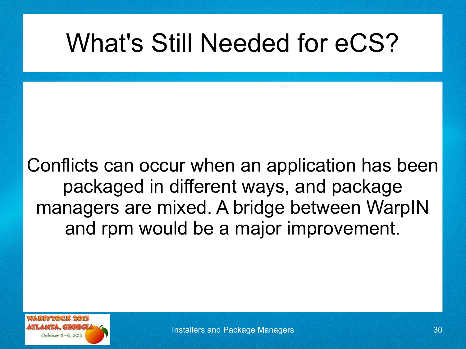## What's Still Needed for eCS?

Conflicts can occur when an application has been packaged in different ways, and package managers are mixed. A bridge between WarpIN and rpm would be a major improvement.

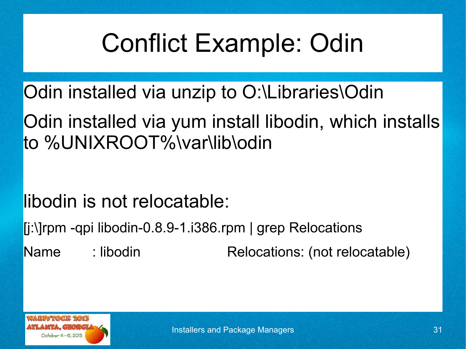# Conflict Example: Odin

Odin installed via unzip to O:\Libraries\Odin

Odin installed via yum install libodin, which installs to %UNIXROOT%\var\lib\odin

libodin is not relocatable:

[j:\]rpm -qpi libodin-0.8.9-1.i386.rpm | grep Relocations

Name : libodin Relocations: (not relocatable)

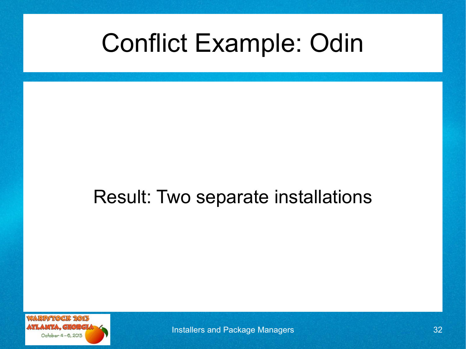## Conflict Example: Odin

### Result: Two separate installations



**Installers and Package Managers 32** and 32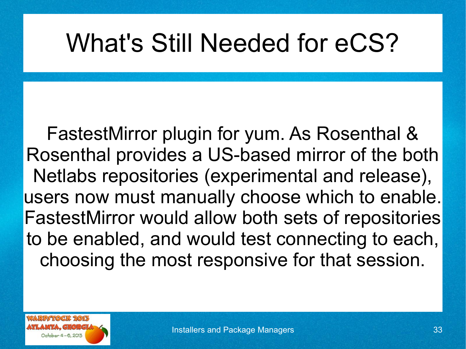## What's Still Needed for eCS?

FastestMirror plugin for yum. As Rosenthal & Rosenthal provides a US-based mirror of the both Netlabs repositories (experimental and release), users now must manually choose which to enable. FastestMirror would allow both sets of repositories to be enabled, and would test connecting to each, choosing the most responsive for that session.